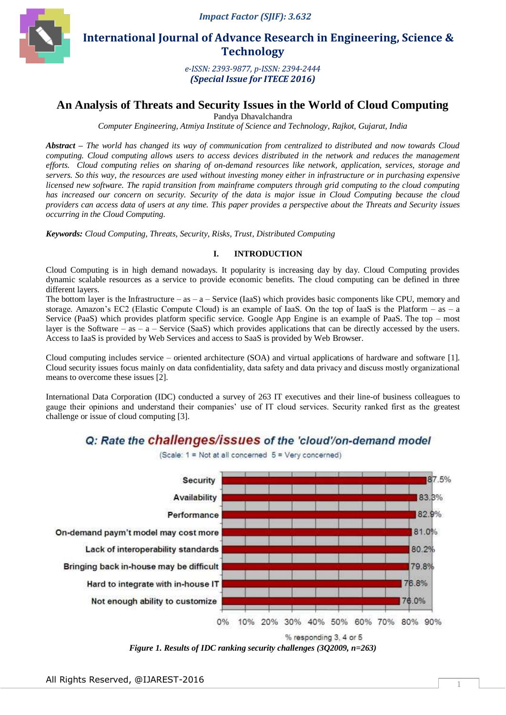

 **International Journal of Advance Research in Engineering, Science & Technology** 

> *e-ISSN: 2393-9877, p-ISSN: 2394-2444 (Special Issue for ITECE 2016)*

## **An Analysis of Threats and Security Issues in the World of Cloud Computing**

Pandya Dhavalchandra

*Computer Engineering, Atmiya Institute of Science and Technology, Rajkot, Gujarat, India*

*Abstract – The world has changed its way of communication from centralized to distributed and now towards Cloud computing. Cloud computing allows users to access devices distributed in the network and reduces the management efforts. Cloud computing relies on sharing of on-demand resources like network, application, services, storage and servers. So this way, the resources are used without investing money either in infrastructure or in purchasing expensive licensed new software. The rapid transition from mainframe computers through grid computing to the cloud computing has increased our concern on security. Security of the data is major issue in Cloud Computing because the cloud providers can access data of users at any time. This paper provides a perspective about the Threats and Security issues occurring in the Cloud Computing.*

*Keywords: Cloud Computing, Threats, Security, Risks, Trust, Distributed Computing*

## **I. INTRODUCTION**

Cloud Computing is in high demand nowadays. It popularity is increasing day by day. Cloud Computing provides dynamic scalable resources as a service to provide economic benefits. The cloud computing can be defined in three different layers.

The bottom layer is the Infrastructure – as –  $a$  – Service (IaaS) which provides basic components like CPU, memory and storage. Amazon's EC2 (Elastic Compute Cloud) is an example of IaaS. On the top of IaaS is the Platform – as – a Service (PaaS) which provides platform specific service. Google App Engine is an example of PaaS. The top – most layer is the Software – as – a – Service (SaaS) which provides applications that can be directly accessed by the users. Access to IaaS is provided by Web Services and access to SaaS is provided by Web Browser.

Cloud computing includes service – oriented architecture (SOA) and virtual applications of hardware and software [1]. Cloud security issues focus mainly on data confidentiality, data safety and data privacy and discuss mostly organizational means to overcome these issues [2].

International Data Corporation (IDC) conducted a survey of 263 IT executives and their line-of business colleagues to gauge their opinions and understand their companies' use of IT cloud services. Security ranked first as the greatest challenge or issue of cloud computing [3].

# Q: Rate the **challenges/issues** of the 'cloud'/on-demand model

(Scale: 1 = Not at all concerned 5 = Very concerned)



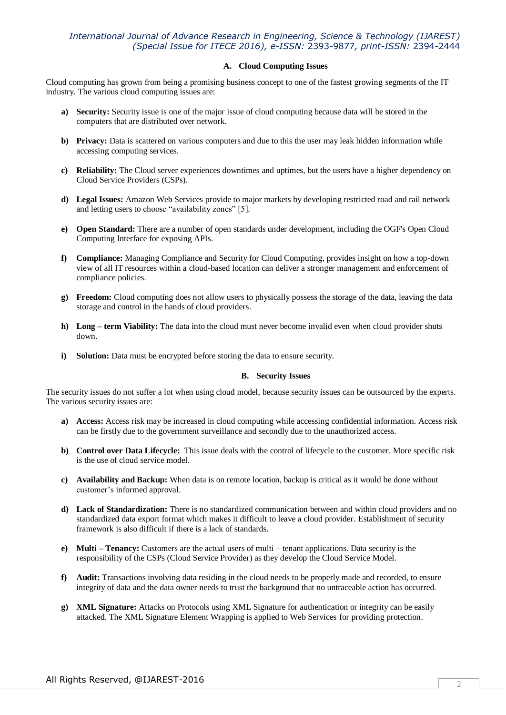## *International Journal of Advance Research in Engineering, Science & Technology (IJAREST) (Special Issue for ITECE 2016), e-ISSN:* 2393-9877*, print-ISSN:* 2394-2444

### **A. Cloud Computing Issues**

Cloud computing has grown from being a promising business concept to one of the fastest growing segments of the IT industry. The various cloud computing issues are:

- **a) Security:** Security issue is one of the major issue of cloud computing because data will be stored in the computers that are distributed over network.
- **b) Privacy:** Data is scattered on various computers and due to this the user may leak hidden information while accessing computing services.
- **c) Reliability:** The Cloud server experiences downtimes and uptimes, but the users have a higher dependency on Cloud Service Providers (CSPs).
- **d) Legal Issues:** Amazon Web Services provide to major markets by developing restricted road and rail network and letting users to choose "availability zones" [5].
- **e) Open Standard:** There are a number of open standards under development, including the OGF's Open Cloud Computing Interface for exposing APIs.
- **f) Compliance:** Managing Compliance and Security for Cloud Computing, provides insight on how a top-down view of all IT resources within a cloud-based location can deliver a stronger management and enforcement of compliance policies.
- **g) Freedom:** Cloud computing does not allow users to physically possess the storage of the data, leaving the data storage and control in the hands of cloud providers.
- **h) Long – term Viability:** The data into the cloud must never become invalid even when cloud provider shuts down.
- **i) Solution:** Data must be encrypted before storing the data to ensure security.

#### **B. Security Issues**

The security issues do not suffer a lot when using cloud model, because security issues can be outsourced by the experts. The various security issues are:

- **a) Access:** Access risk may be increased in cloud computing while accessing confidential information. Access risk can be firstly due to the government surveillance and secondly due to the unauthorized access.
- **b) Control over Data Lifecycle:** This issue deals with the control of lifecycle to the customer. More specific risk is the use of cloud service model.
- **c) Availability and Backup:** When data is on remote location, backup is critical as it would be done without customer's informed approval.
- **d) Lack of Standardization:** There is no standardized communication between and within cloud providers and no standardized data export format which makes it difficult to leave a cloud provider. Establishment of security framework is also difficult if there is a lack of standards.
- **e) Multi – Tenancy:** Customers are the actual users of multi tenant applications. Data security is the responsibility of the CSPs (Cloud Service Provider) as they develop the Cloud Service Model.
- **f) Audit:** Transactions involving data residing in the cloud needs to be properly made and recorded, to ensure integrity of data and the data owner needs to trust the background that no untraceable action has occurred.
- **g) XML Signature:** Attacks on Protocols using XML Signature for authentication or integrity can be easily attacked. The XML Signature Element Wrapping is applied to Web Services for providing protection.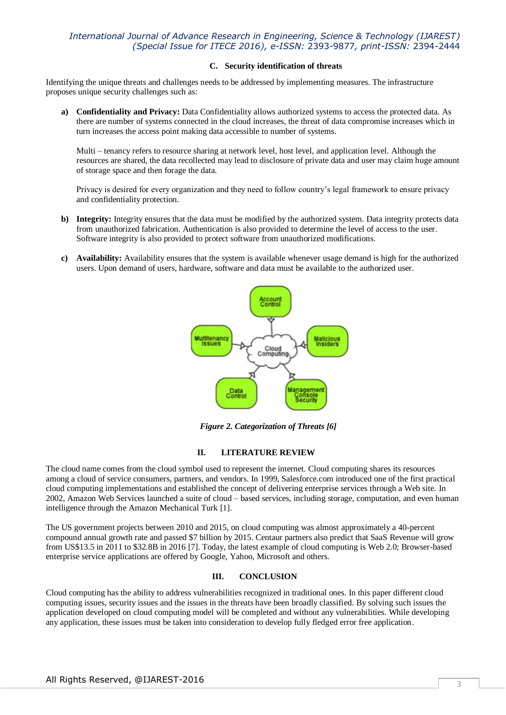## *International Journal of Advance Research in Engineering, Science & Technology (IJAREST) (Special Issue for ITECE 2016), e-ISSN:* 2393-9877*, print-ISSN:* 2394-2444

### **C. Security identification of threats**

Identifying the unique threats and challenges needs to be addressed by implementing measures. The infrastructure proposes unique security challenges such as:

**a) Confidentiality and Privacy:** Data Confidentiality allows authorized systems to access the protected data. As there are number of systems connected in the cloud increases, the threat of data compromise increases which in turn increases the access point making data accessible to number of systems.

Multi – tenancy refers to resource sharing at network level, host level, and application level. Although the resources are shared, the data recollected may lead to disclosure of private data and user may claim huge amount of storage space and then forage the data.

Privacy is desired for every organization and they need to follow country's legal framework to ensure privacy and confidentiality protection.

- **b) Integrity:** Integrity ensures that the data must be modified by the authorized system. Data integrity protects data from unauthorized fabrication. Authentication is also provided to determine the level of access to the user. Software integrity is also provided to protect software from unauthorized modifications.
- **c) Availability:** Availability ensures that the system is available whenever usage demand is high for the authorized users. Upon demand of users, hardware, software and data must be available to the authorized user.



*Figure 2. Categorization of Threats [6]*

## **II. LITERATURE REVIEW**

The cloud name comes from the cloud symbol used to represent the internet. Cloud computing shares its resources among a cloud of service consumers, partners, and vendors. In 1999, Salesforce.com introduced one of the first practical cloud computing implementations and established the concept of delivering enterprise services through a Web site. In 2002, Amazon Web Services launched a suite of cloud – based services, including storage, computation, and even human intelligence through the Amazon Mechanical Turk [1].

The US government projects between 2010 and 2015, on cloud computing was almost approximately a 40-percent compound annual growth rate and passed \$7 billion by 2015. Centaur partners also predict that SaaS Revenue will grow from US\$13.5 in 2011 to \$32.8B in 2016 [7]. Today, the latest example of cloud computing is Web 2.0; Browser-based enterprise service applications are offered by Google, Yahoo, Microsoft and others.

#### **III. CONCLUSION**

Cloud computing has the ability to address vulnerabilities recognized in traditional ones. In this paper different cloud computing issues, security issues and the issues in the threats have been broadly classified. By solving such issues the application developed on cloud computing model will be completed and without any vulnerabilities. While developing any application, these issues must be taken into consideration to develop fully fledged error free application.